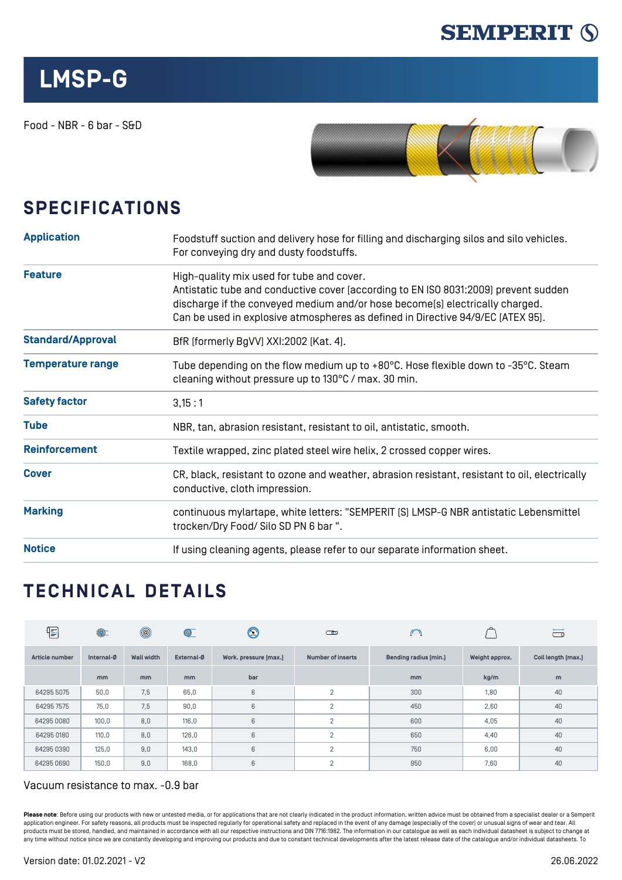

## **LMSP-G**

Food - NBR - 6 bar - S&D



## **SPECIFICATIONS**

| <b>Application</b>       | Foodstuff suction and delivery hose for filling and discharging silos and silo vehicles.<br>For conveying dry and dusty foodstuffs.                                                                                                                                                                 |  |  |  |  |
|--------------------------|-----------------------------------------------------------------------------------------------------------------------------------------------------------------------------------------------------------------------------------------------------------------------------------------------------|--|--|--|--|
| <b>Feature</b>           | High-quality mix used for tube and cover.<br>Antistatic tube and conductive cover (according to EN ISO 8031:2009) prevent sudden<br>discharge if the conveyed medium and/or hose become(s) electrically charged.<br>Can be used in explosive atmospheres as defined in Directive 94/9/EC [ATEX 95]. |  |  |  |  |
| <b>Standard/Approval</b> | BfR (formerly BgVV) XXI:2002 (Kat. 4).                                                                                                                                                                                                                                                              |  |  |  |  |
| <b>Temperature range</b> | Tube depending on the flow medium up to $+80^{\circ}$ C. Hose flexible down to -35 $^{\circ}$ C. Steam<br>cleaning without pressure up to 130°C / max. 30 min.                                                                                                                                      |  |  |  |  |
| <b>Safety factor</b>     | 3,15:1                                                                                                                                                                                                                                                                                              |  |  |  |  |
| <b>Tube</b>              | NBR, tan, abrasion resistant, resistant to oil, antistatic, smooth.                                                                                                                                                                                                                                 |  |  |  |  |
| <b>Reinforcement</b>     | Textile wrapped, zinc plated steel wire helix, 2 crossed copper wires.                                                                                                                                                                                                                              |  |  |  |  |
| <b>Cover</b>             | CR, black, resistant to ozone and weather, abrasion resistant, resistant to oil, electrically<br>conductive, cloth impression.                                                                                                                                                                      |  |  |  |  |
| <b>Marking</b>           | continuous mylartape, white letters: "SEMPERIT [S] LMSP-G NBR antistatic Lebensmittel<br>trocken/Dry Food/ Silo SD PN 6 bar ".                                                                                                                                                                      |  |  |  |  |
| <b>Notice</b>            | If using cleaning agents, please refer to our separate information sheet.                                                                                                                                                                                                                           |  |  |  |  |

## **TECHNICAL DETAILS**

| 1              | $\circledcirc$ | $^{\circledR}$    | $\circledcirc$ | $\bm{\mathfrak{D}}$   | $\Box$                   | $\bigcap$             |                | ā                  |
|----------------|----------------|-------------------|----------------|-----------------------|--------------------------|-----------------------|----------------|--------------------|
| Article number | Internal-Ø     | <b>Wall width</b> | External-Ø     | Work. pressure [max.] | <b>Number of inserts</b> | Bending radius [min.] | Weight approx. | Coil length [max.] |
|                | mm             | mm                | mm             | bar                   |                          | <sub>mm</sub>         | kg/m           | m                  |
| 64295 5075     | 50,0           | 7,5               | 65,0           | 6                     | $\overline{2}$           | 300                   | 1,80           | 40                 |
| 64295 7575     | 75,0           | 7,5               | 90,0           | 6                     | $\overline{2}$           | 450                   | 2,60           | 40                 |
| 64295 0080     | 100,0          | 8,0               | 116,0          | 6                     | $\overline{2}$           | 600                   | 4,05           | 40                 |
| 64295 0180     | 110,0          | 8,0               | 126,0          | 6                     | $\overline{2}$           | 650                   | 4,40           | 40                 |
| 64295 0390     | 125,0          | 9,0               | 143,0          | 6                     | $\overline{2}$           | 750                   | 6,00           | 40                 |
| 64295 0690     | 150,0          | 9,0               | 168,0          | 6                     | $\overline{2}$           | 950                   | 7,60           | 40                 |

## Vacuum resistance to max. -0.9 bar

Please note: Before using our products with new or untested media, or for applications that are not clearly indicated in the product information, written advice must be obtained from a specialist dealer or a Semperit application engineer. For safety reasons, all products must be inspected regularly for operational safety and replaced in the event of any damage (especially of the cover) or unusual signs of wear and tear. All products must be stored, handled, and maintained in accordance with all our respective instructions and DIN 7716:1982. The information in our catalogue as well as each individual datasheet is subject to change at any time without notice since we are constantly developing and improving our products and due to constant technical developments after the latest release date of the catalogue and/or individual datasheets. To any time with